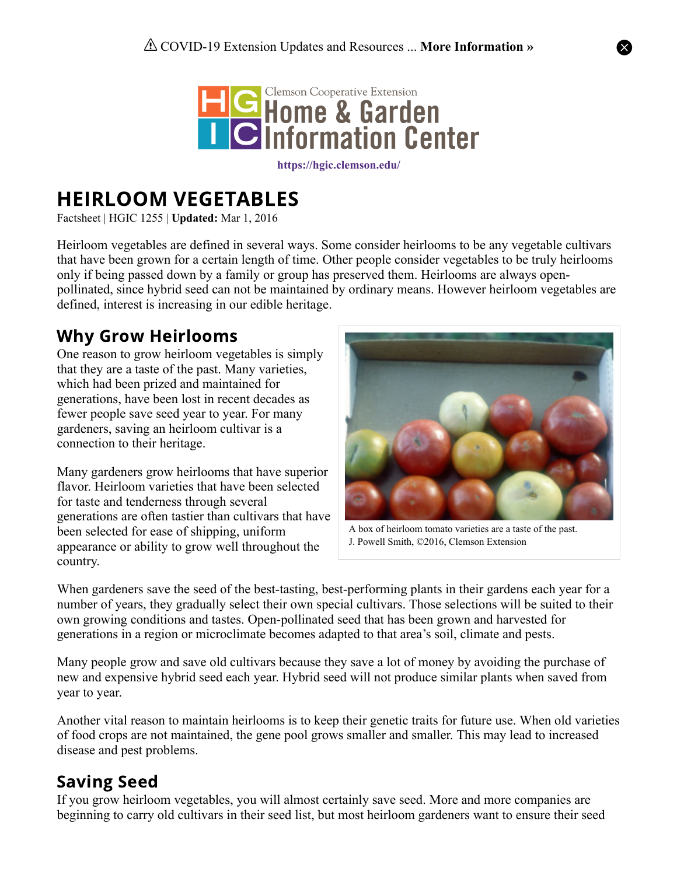

**<https://hgic.clemson.edu/>**

# HEIRLOOM VEGETABLES

Factsheet | HGIC 1255 | **Updated:** Mar 1, 2016

Heirloom vegetables are defined in several ways. Some consider heirlooms to be any vegetable cultivars that have been grown for a certain length of time. Other people consider vegetables to be truly heirlooms only if being passed down by a family or group has preserved them. Heirlooms are always openpollinated, since hybrid seed can not be maintained by ordinary means. However heirloom vegetables are defined, interest is increasing in our edible heritage.

# Why Grow Heirlooms

One reason to grow heirloom vegetables is simply that they are a taste of the past. Many varieties, which had been prized and maintained for generations, have been lost in recent decades as fewer people save seed year to year. For many gardeners, saving an heirloom cultivar is a connection to their heritage.

Many gardeners grow heirlooms that have superior flavor. Heirloom varieties that have been selected for taste and tenderness through several generations are often tastier than cultivars that have been selected for ease of shipping, uniform appearance or ability to grow well throughout the country.



A box of heirloom tomato varieties are a taste of the past. J. Powell Smith, ©2016, Clemson Extension

When gardeners save the seed of the best-tasting, best-performing plants in their gardens each year for a number of years, they gradually select their own special cultivars. Those selections will be suited to their own growing conditions and tastes. Open-pollinated seed that has been grown and harvested for generations in a region or microclimate becomes adapted to that area's soil, climate and pests.

Many people grow and save old cultivars because they save a lot of money by avoiding the purchase of new and expensive hybrid seed each year. Hybrid seed will not produce similar plants when saved from year to year.

Another vital reason to maintain heirlooms is to keep their genetic traits for future use. When old varieties of food crops are not maintained, the gene pool grows smaller and smaller. This may lead to increased disease and pest problems.

# Saving Seed

If you grow heirloom vegetables, you will almost certainly save seed. More and more companies are beginning to carry old cultivars in their seed list, but most heirloom gardeners want to ensure their seed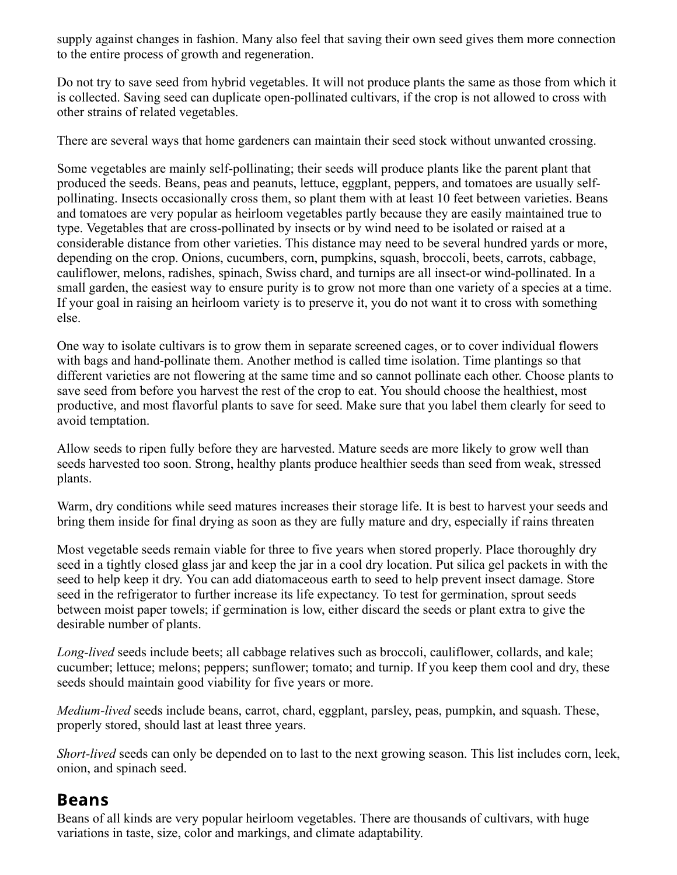supply against changes in fashion. Many also feel that saving their own seed gives them more connection to the entire process of growth and regeneration.

Do not try to save seed from hybrid vegetables. It will not produce plants the same as those from which it is collected. Saving seed can duplicate open-pollinated cultivars, if the crop is not allowed to cross with other strains of related vegetables.

There are several ways that home gardeners can maintain their seed stock without unwanted crossing.

Some vegetables are mainly self-pollinating; their seeds will produce plants like the parent plant that produced the seeds. Beans, peas and peanuts, lettuce, eggplant, peppers, and tomatoes are usually selfpollinating. Insects occasionally cross them, so plant them with at least 10 feet between varieties. Beans and tomatoes are very popular as heirloom vegetables partly because they are easily maintained true to type. Vegetables that are cross-pollinated by insects or by wind need to be isolated or raised at a considerable distance from other varieties. This distance may need to be several hundred yards or more, depending on the crop. Onions, cucumbers, corn, pumpkins, squash, broccoli, beets, carrots, cabbage, cauliflower, melons, radishes, spinach, Swiss chard, and turnips are all insect-or wind-pollinated. In a small garden, the easiest way to ensure purity is to grow not more than one variety of a species at a time. If your goal in raising an heirloom variety is to preserve it, you do not want it to cross with something else.

One way to isolate cultivars is to grow them in separate screened cages, or to cover individual flowers with bags and hand-pollinate them. Another method is called time isolation. Time plantings so that different varieties are not flowering at the same time and so cannot pollinate each other. Choose plants to save seed from before you harvest the rest of the crop to eat. You should choose the healthiest, most productive, and most flavorful plants to save for seed. Make sure that you label them clearly for seed to avoid temptation.

Allow seeds to ripen fully before they are harvested. Mature seeds are more likely to grow well than seeds harvested too soon. Strong, healthy plants produce healthier seeds than seed from weak, stressed plants.

Warm, dry conditions while seed matures increases their storage life. It is best to harvest your seeds and bring them inside for final drying as soon as they are fully mature and dry, especially if rains threaten

Most vegetable seeds remain viable for three to five years when stored properly. Place thoroughly dry seed in a tightly closed glass jar and keep the jar in a cool dry location. Put silica gel packets in with the seed to help keep it dry. You can add diatomaceous earth to seed to help prevent insect damage. Store seed in the refrigerator to further increase its life expectancy. To test for germination, sprout seeds between moist paper towels; if germination is low, either discard the seeds or plant extra to give the desirable number of plants.

*Long-lived* seeds include beets; all cabbage relatives such as broccoli, cauliflower, collards, and kale; cucumber; lettuce; melons; peppers; sunflower; tomato; and turnip. If you keep them cool and dry, these seeds should maintain good viability for five years or more.

*Medium-lived* seeds include beans, carrot, chard, eggplant, parsley, peas, pumpkin, and squash. These, properly stored, should last at least three years.

*Short-lived* seeds can only be depended on to last to the next growing season. This list includes corn, leek, onion, and spinach seed.

#### Beans

Beans of all kinds are very popular heirloom vegetables. There are thousands of cultivars, with huge variations in taste, size, color and markings, and climate adaptability.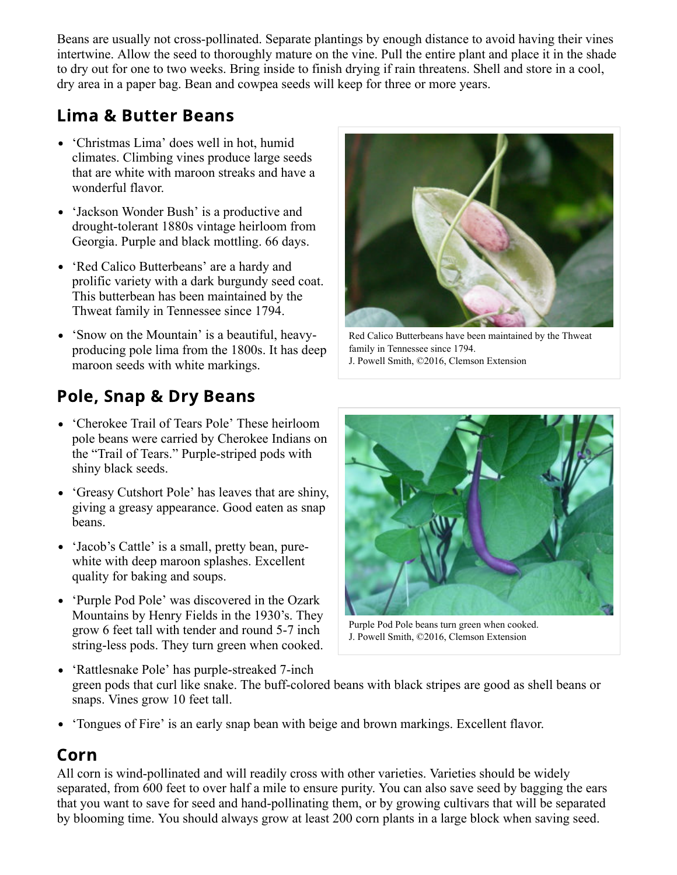Beans are usually not cross-pollinated. Separate plantings by enough distance to avoid having their vines intertwine. Allow the seed to thoroughly mature on the vine. Pull the entire plant and place it in the shade to dry out for one to two weeks. Bring inside to finish drying if rain threatens. Shell and store in a cool, dry area in a paper bag. Bean and cowpea seeds will keep for three or more years.

# Lima & Butter Beans

- 'Christmas Lima' does well in hot, humid climates. Climbing vines produce large seeds that are white with maroon streaks and have a wonderful flavor.
- 'Jackson Wonder Bush' is a productive and drought-tolerant 1880s vintage heirloom from Georgia. Purple and black mottling. 66 days.
- 'Red Calico Butterbeans' are a hardy and prolific variety with a dark burgundy seed coat. This butterbean has been maintained by the Thweat family in Tennessee since 1794.
- 'Snow on the Mountain' is a beautiful, heavyproducing pole lima from the 1800s. It has deep maroon seeds with white markings.

# Pole, Snap & Dry Beans

- 'Cherokee Trail of Tears Pole' These heirloom pole beans were carried by Cherokee Indians on the "Trail of Tears." Purple-striped pods with shiny black seeds.
- 'Greasy Cutshort Pole' has leaves that are shiny, giving a greasy appearance. Good eaten as snap beans.
- 'Jacob's Cattle' is a small, pretty bean, purewhite with deep maroon splashes. Excellent quality for baking and soups.
- 'Purple Pod Pole' was discovered in the Ozark Mountains by Henry Fields in the 1930's. They grow 6 feet tall with tender and round 5-7 inch string-less pods. They turn green when cooked.



Red Calico Butterbeans have been maintained by the Thweat family in Tennessee since 1794. J. Powell Smith, ©2016, Clemson Extension



Purple Pod Pole beans turn green when cooked. J. Powell Smith, ©2016, Clemson Extension

- 'Rattlesnake Pole' has purple-streaked 7-inch green pods that curl like snake. The buff-colored beans with black stripes are good as shell beans or snaps. Vines grow 10 feet tall.
- 'Tongues of Fire' is an early snap bean with beige and brown markings. Excellent flavor.

# Corn

All corn is wind-pollinated and will readily cross with other varieties. Varieties should be widely separated, from 600 feet to over half a mile to ensure purity. You can also save seed by bagging the ears that you want to save for seed and hand-pollinating them, or by growing cultivars that will be separated by blooming time. You should always grow at least 200 corn plants in a large block when saving seed.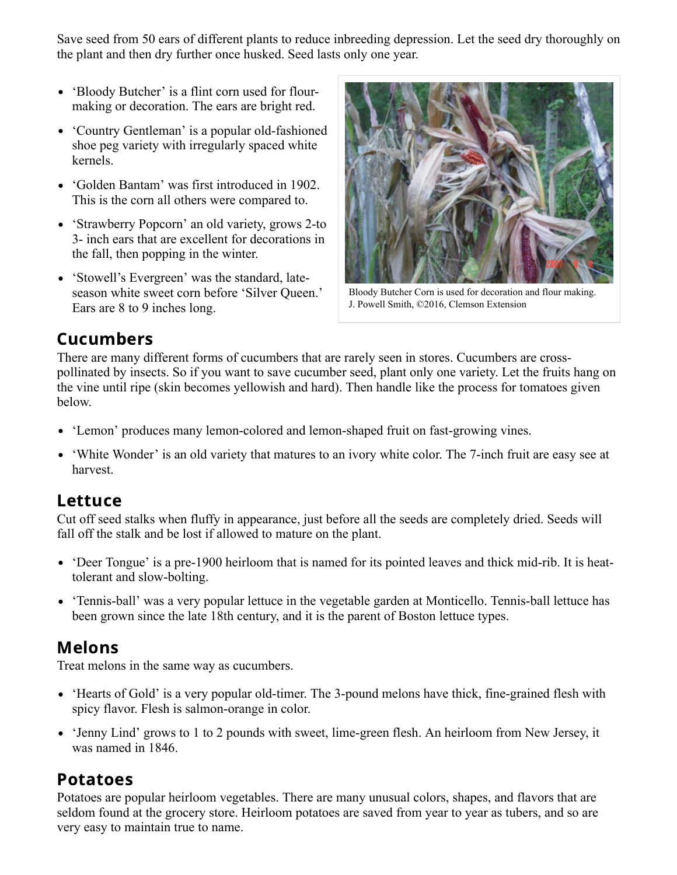Save seed from 50 ears of different plants to reduce inbreeding depression. Let the seed dry thoroughly on the plant and then dry further once husked. Seed lasts only one year.

- 'Bloody Butcher' is a flint corn used for flourmaking or decoration. The ears are bright red.
- 'Country Gentleman' is a popular old-fashioned shoe peg variety with irregularly spaced white kernels.
- 'Golden Bantam' was first introduced in 1902. This is the corn all others were compared to.
- 'Strawberry Popcorn' an old variety, grows 2-to 3- inch ears that are excellent for decorations in the fall, then popping in the winter.
- 'Stowell's Evergreen' was the standard, lateseason white sweet corn before 'Silver Queen.' Ears are 8 to 9 inches long.



Bloody Butcher Corn is used for decoration and flour making. J. Powell Smith, ©2016, Clemson Extension

### Cucumbers

There are many different forms of cucumbers that are rarely seen in stores. Cucumbers are crosspollinated by insects. So if you want to save cucumber seed, plant only one variety. Let the fruits hang on the vine until ripe (skin becomes yellowish and hard). Then handle like the process for tomatoes given below.

- 'Lemon' produces many lemon-colored and lemon-shaped fruit on fast-growing vines.
- 'White Wonder' is an old variety that matures to an ivory white color. The 7-inch fruit are easy see at harvest.

#### Lettuce

Cut off seed stalks when fluffy in appearance, just before all the seeds are completely dried. Seeds will fall off the stalk and be lost if allowed to mature on the plant.

- 'Deer Tongue' is a pre-1900 heirloom that is named for its pointed leaves and thick mid-rib. It is heattolerant and slow-bolting.
- 'Tennis-ball' was a very popular lettuce in the vegetable garden at Monticello. Tennis-ball lettuce has been grown since the late 18th century, and it is the parent of Boston lettuce types.

#### Melons

Treat melons in the same way as cucumbers.

- 'Hearts of Gold' is a very popular old-timer. The 3-pound melons have thick, fine-grained flesh with spicy flavor. Flesh is salmon-orange in color.
- 'Jenny Lind' grows to 1 to 2 pounds with sweet, lime-green flesh. An heirloom from New Jersey, it was named in 1846.

#### Potatoes

Potatoes are popular heirloom vegetables. There are many unusual colors, shapes, and flavors that are seldom found at the grocery store. Heirloom potatoes are saved from year to year as tubers, and so are very easy to maintain true to name.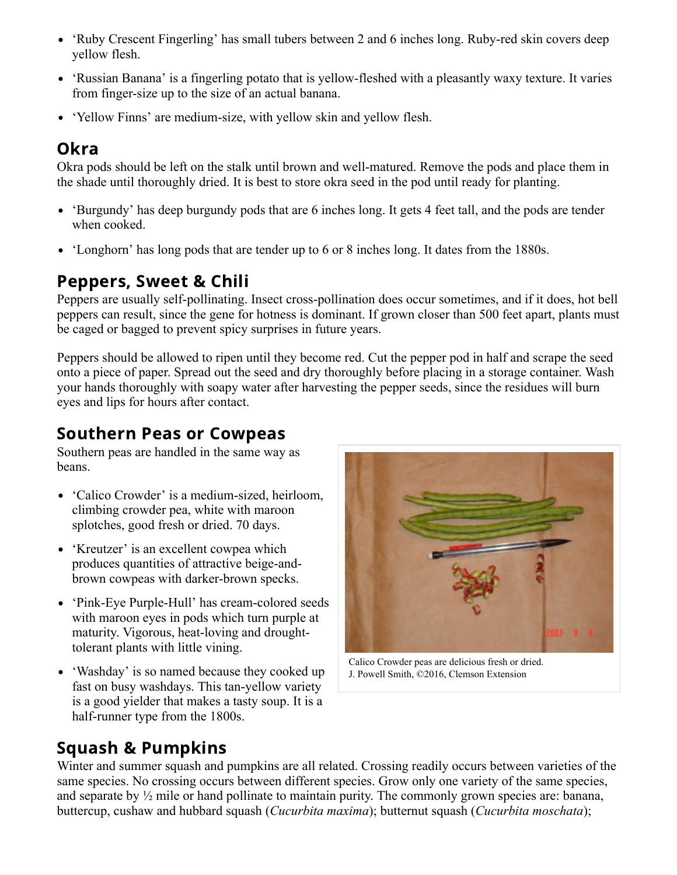- 'Ruby Crescent Fingerling' has small tubers between 2 and 6 inches long. Ruby-red skin covers deep yellow flesh.
- 'Russian Banana' is a fingerling potato that is yellow-fleshed with a pleasantly waxy texture. It varies from finger-size up to the size of an actual banana.
- 'Yellow Finns' are medium-size, with yellow skin and yellow flesh.

# Okra

Okra pods should be left on the stalk until brown and well-matured. Remove the pods and place them in the shade until thoroughly dried. It is best to store okra seed in the pod until ready for planting.

- 'Burgundy' has deep burgundy pods that are 6 inches long. It gets 4 feet tall, and the pods are tender when cooked.
- 'Longhorn' has long pods that are tender up to 6 or 8 inches long. It dates from the 1880s.

# Peppers, Sweet & Chili

Peppers are usually self-pollinating. Insect cross-pollination does occur sometimes, and if it does, hot bell peppers can result, since the gene for hotness is dominant. If grown closer than 500 feet apart, plants must be caged or bagged to prevent spicy surprises in future years.

Peppers should be allowed to ripen until they become red. Cut the pepper pod in half and scrape the seed onto a piece of paper. Spread out the seed and dry thoroughly before placing in a storage container. Wash your hands thoroughly with soapy water after harvesting the pepper seeds, since the residues will burn eyes and lips for hours after contact.

### Southern Peas or Cowpeas

Southern peas are handled in the same way as beans.

- 'Calico Crowder' is a medium-sized, heirloom, climbing crowder pea, white with maroon splotches, good fresh or dried. 70 days.
- 'Kreutzer' is an excellent cowpea which produces quantities of attractive beige-andbrown cowpeas with darker-brown specks.
- 'Pink-Eye Purple-Hull' has cream-colored seeds with maroon eyes in pods which turn purple at maturity. Vigorous, heat-loving and droughttolerant plants with little vining.
- 'Washday' is so named because they cooked up fast on busy washdays. This tan-yellow variety is a good yielder that makes a tasty soup. It is a half-runner type from the 1800s.



Calico Crowder peas are delicious fresh or dried. J. Powell Smith, ©2016, Clemson Extension

# Squash & Pumpkins

Winter and summer squash and pumpkins are all related. Crossing readily occurs between varieties of the same species. No crossing occurs between different species. Grow only one variety of the same species, and separate by ½ mile or hand pollinate to maintain purity. The commonly grown species are: banana, buttercup, cushaw and hubbard squash (*Cucurbita maxima*); butternut squash (*Cucurbita moschata*);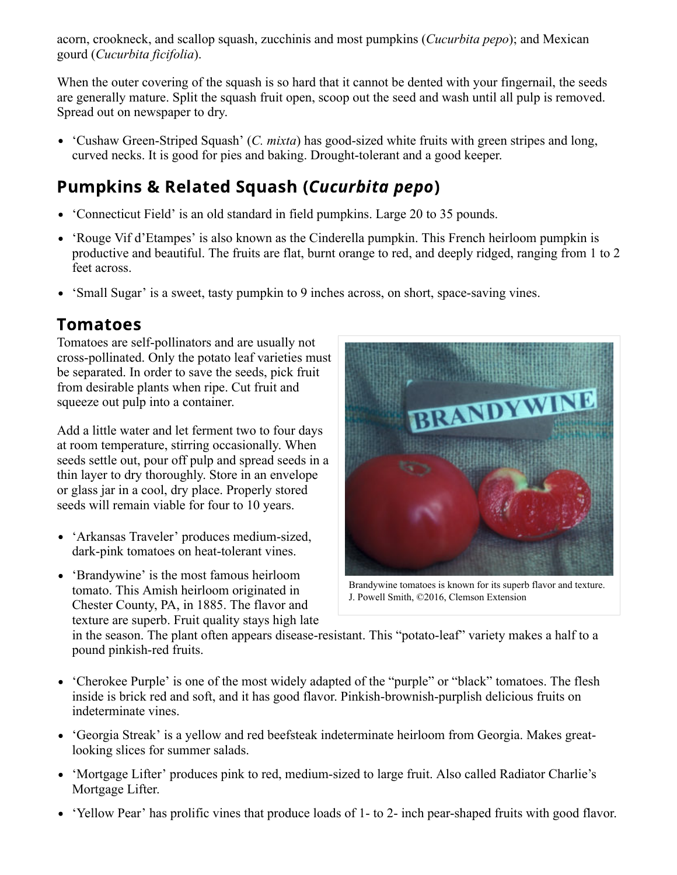acorn, crookneck, and scallop squash, zucchinis and most pumpkins (*Cucurbita pepo*); and Mexican gourd (*Cucurbita ficifolia*).

When the outer covering of the squash is so hard that it cannot be dented with your fingernail, the seeds are generally mature. Split the squash fruit open, scoop out the seed and wash until all pulp is removed. Spread out on newspaper to dry.

'Cushaw Green-Striped Squash' (*C. mixta*) has good-sized white fruits with green stripes and long, curved necks. It is good for pies and baking. Drought-tolerant and a good keeper.

# Pumpkins & Related Squash (Cucurbita pepo)

- 'Connecticut Field' is an old standard in field pumpkins. Large 20 to 35 pounds.
- 'Rouge Vif d'Etampes' is also known as the Cinderella pumpkin. This French heirloom pumpkin is productive and beautiful. The fruits are flat, burnt orange to red, and deeply ridged, ranging from 1 to 2 feet across.
- 'Small Sugar' is a sweet, tasty pumpkin to 9 inches across, on short, space-saving vines.

# Tomatoes

Tomatoes are self-pollinators and are usually not cross-pollinated. Only the potato leaf varieties must be separated. In order to save the seeds, pick fruit from desirable plants when ripe. Cut fruit and squeeze out pulp into a container.

Add a little water and let ferment two to four days at room temperature, stirring occasionally. When seeds settle out, pour off pulp and spread seeds in a thin layer to dry thoroughly. Store in an envelope or glass jar in a cool, dry place. Properly stored seeds will remain viable for four to 10 years.

- 'Arkansas Traveler' produces medium-sized, dark-pink tomatoes on heat-tolerant vines.
- 'Brandywine' is the most famous heirloom tomato. This Amish heirloom originated in Chester County, PA, in 1885. The flavor and texture are superb. Fruit quality stays high late



Brandywine tomatoes is known for its superb flavor and texture. J. Powell Smith, ©2016, Clemson Extension

in the season. The plant often appears disease-resistant. This "potato-leaf" variety makes a half to a pound pinkish-red fruits.

- 'Cherokee Purple' is one of the most widely adapted of the "purple" or "black" tomatoes. The flesh inside is brick red and soft, and it has good flavor. Pinkish-brownish-purplish delicious fruits on indeterminate vines.
- 'Georgia Streak' is a yellow and red beefsteak indeterminate heirloom from Georgia. Makes greatlooking slices for summer salads.
- 'Mortgage Lifter' produces pink to red, medium-sized to large fruit. Also called Radiator Charlie's Mortgage Lifter.
- 'Yellow Pear' has prolific vines that produce loads of 1- to 2- inch pear-shaped fruits with good flavor.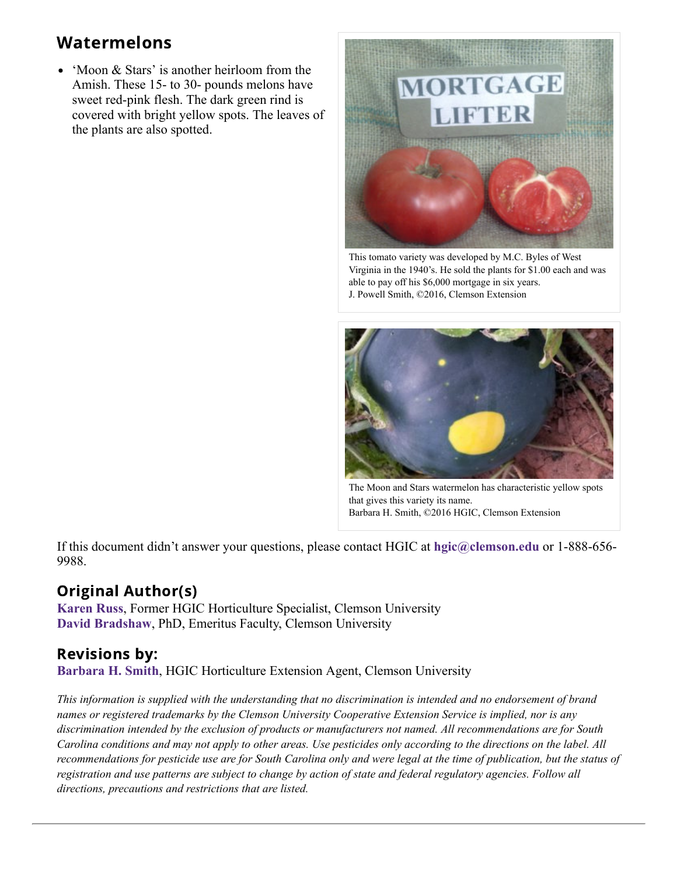# Watermelons

• 'Moon & Stars' is another heirloom from the Amish. These 15- to 30- pounds melons have sweet red-pink flesh. The dark green rind is covered with bright yellow spots. The leaves of the plants are also spotted.



This tomato variety was developed by M.C. Byles of West Virginia in the 1940's. He sold the plants for \$1.00 each and was able to pay off his \$6,000 mortgage in six years. J. Powell Smith, ©2016, Clemson Extension



The Moon and Stars watermelon has characteristic yellow spots that gives this variety its name. Barbara H. Smith, ©2016 HGIC, Clemson Extension

If this document didn't answer your questions, please contact HGIC at **[hgic@clemson.edu](mailto:hgic@clemson.edu)** or 1-888-656- 9988.

#### Original Author(s)

**[Karen Russ](https://hgic.clemson.edu/author/karen-russ/)**, Former HGIC Horticulture Specialist, Clemson University **[David Bradshaw](https://hgic.clemson.edu/author/david-bradshaw/)**, PhD, Emeritus Faculty, Clemson University

#### Revisions by:

**[Barbara H. Smith](https://hgic.clemson.edu/author/barbar6/)**, HGIC Horticulture Extension Agent, Clemson University

*This information is supplied with the understanding that no discrimination is intended and no endorsement of brand names or registered trademarks by the Clemson University Cooperative Extension Service is implied, nor is any discrimination intended by the exclusion of products or manufacturers not named. All recommendations are for South Carolina conditions and may not apply to other areas. Use pesticides only according to the directions on the label. All recommendations for pesticide use are for South Carolina only and were legal at the time of publication, but the status of registration and use patterns are subject to change by action of state and federal regulatory agencies. Follow all directions, precautions and restrictions that are listed.*